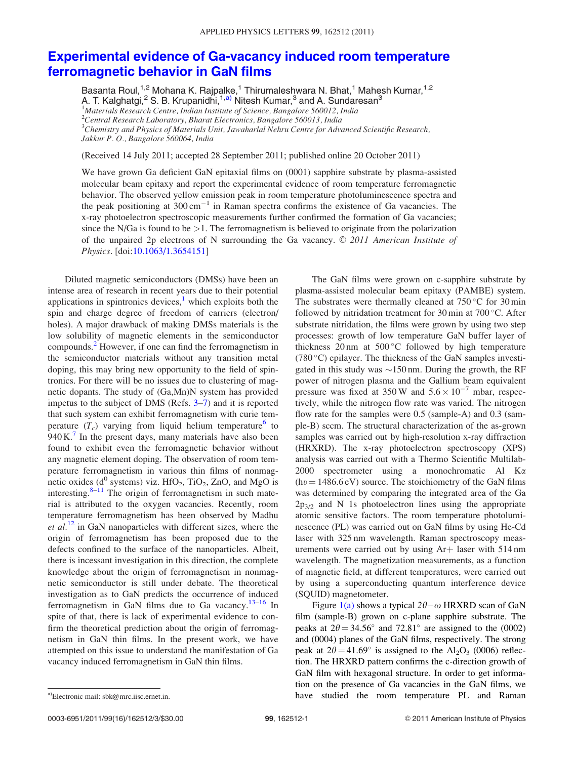## Experimental evidence of Ga-vacancy induced room temperature ferromagnetic behavior in GaN films

Basanta Roul,<sup>1,2</sup> Mohana K. Rajpalke,<sup>1</sup> Thirumaleshwara N. Bhat,<sup>1</sup> Mahesh Kumar,<sup>1,2</sup> A. T. Kalghatgi,<sup>2</sup> S. B. Krupanidni,<sup>1,a)</sup> Nitesh Kumar,<sup>3</sup> and A. Sundaresan<sup>3</sup>

<sup>1</sup>*Materials Research Centre, Indian Institute of Science, Bangalore 560012, India*

<sup>2</sup>*Central Research Laboratory, Bharat Electronics, Bangalore 560013, India*

<sup>3</sup>*Chemistry and Physics of Materials Unit, Jawaharlal Nehru Centre for Advanced Scientific Research, Jakkur P. O., Bangalore 560064, India*

(Received 14 July 2011; accepted 28 September 2011; published online 20 October 2011)

We have grown Ga deficient GaN epitaxial films on (0001) sapphire substrate by plasma-assisted molecular beam epitaxy and report the experimental evidence of room temperature ferromagnetic behavior. The observed yellow emission peak in room temperature photoluminescence spectra and the peak positioning at  $300 \text{ cm}^{-1}$  in Raman spectra confirms the existence of Ga vacancies. The x-ray photoelectron spectroscopic measurements further confirmed the formation of Ga vacancies; since the N/Ga is found to be  $>1$ . The ferromagnetism is believed to originate from the polarization of the unpaired 2p electrons of N surrounding the Ga vacancy. © 2011 American Institute of *Physics*. [doi:10.1063/1.3654151]

Diluted magnetic semiconductors (DMSs) have been an intense area of research in recent years due to their potential applications in spintronics devices, $\frac{1}{1}$  which exploits both the spin and charge degree of freedom of carriers (electron/ holes). A major drawback of making DMSs materials is the low solubility of magnetic elements in the semiconductor compounds.<sup>2</sup> However, if one can find the ferromagnetism in the semiconductor materials without any transition metal doping, this may bring new opportunity to the field of spintronics. For there will be no issues due to clustering of magnetic dopants. The study of (Ga,Mn)N system has provided impetus to the subject of DMS (Refs. 3–7) and it is reported that such system can exhibit ferromagnetism with curie temperature  $(T_c)$  varying from liquid helium temperature<sup>6</sup> to  $940 \text{ K}$ .<sup>7</sup> In the present days, many materials have also been found to exhibit even the ferromagnetic behavior without any magnetic element doping. The observation of room temperature ferromagnetism in various thin films of nonmagnetic oxides ( $d^0$  systems) viz. HfO<sub>2</sub>, TiO<sub>2</sub>, ZnO, and MgO is interesting. $8-11$  The origin of ferromagnetism in such material is attributed to the oxygen vacancies. Recently, room temperature ferromagnetism has been observed by Madhu *et al.*<sup>12</sup> in GaN nanoparticles with different sizes, where the origin of ferromagnetism has been proposed due to the defects confined to the surface of the nanoparticles. Albeit, there is incessant investigation in this direction, the complete knowledge about the origin of ferromagnetism in nonmagnetic semiconductor is still under debate. The theoretical investigation as to GaN predicts the occurrence of induced ferromagnetism in GaN films due to Ga vacancy.<sup>13–16</sup> In spite of that, there is lack of experimental evidence to confirm the theoretical prediction about the origin of ferromagnetism in GaN thin films. In the present work, we have attempted on this issue to understand the manifestation of Ga vacancy induced ferromagnetism in GaN thin films.

The GaN films were grown on c-sapphire substrate by plasma-assisted molecular beam epitaxy (PAMBE) system. The substrates were thermally cleaned at  $750^{\circ}$ C for 30 min followed by nitridation treatment for 30 min at  $700^{\circ}$ C. After substrate nitridation, the films were grown by using two step processes: growth of low temperature GaN buffer layer of thickness 20 nm at  $500^{\circ}$ C followed by high temperature (780 $\degree$ C) epilayer. The thickness of the GaN samples investigated in this study was  $\sim$ 150 nm. During the growth, the RF power of nitrogen plasma and the Gallium beam equivalent pressure was fixed at 350 W and  $5.6 \times 10^{-7}$  mbar, respectively, while the nitrogen flow rate was varied. The nitrogen flow rate for the samples were 0.5 (sample-A) and 0.3 (sample-B) sccm. The structural characterization of the as-grown samples was carried out by high-resolution x-ray diffraction (HRXRD). The x-ray photoelectron spectroscopy (XPS) analysis was carried out with a Thermo Scientific Multilab-2000 spectrometer using a monochromatic Al  $K\alpha$  $(hv = 1486.6 \text{ eV})$  source. The stoichiometry of the GaN films was determined by comparing the integrated area of the Ga  $2p_{3/2}$  and N 1s photoelectron lines using the appropriate atomic sensitive factors. The room temperature photoluminescence (PL) was carried out on GaN films by using He-Cd laser with 325 nm wavelength. Raman spectroscopy measurements were carried out by using  $Ar+$  laser with 514 nm wavelength. The magnetization measurements, as a function of magnetic field, at different temperatures, were carried out by using a superconducting quantum interference device (SQUID) magnetometer.

Figure  $1(a)$  shows a typical  $2\theta-\omega$  HRXRD scan of GaN film (sample-B) grown on c-plane sapphire substrate. The peaks at  $2\theta = 34.56^{\circ}$  and  $72.81^{\circ}$  are assigned to the (0002) and (0004) planes of the GaN films, respectively. The strong peak at  $2\theta = 41.69^{\circ}$  is assigned to the  $Al_2O_3$  (0006) reflection. The HRXRD pattern confirms the c-direction growth of GaN film with hexagonal structure. In order to get information on the presence of Ga vacancies in the GaN films, we a)Electronic mail: sbk@mrc.iisc.ernet.in. **a)** have studied the room temperature PL and Raman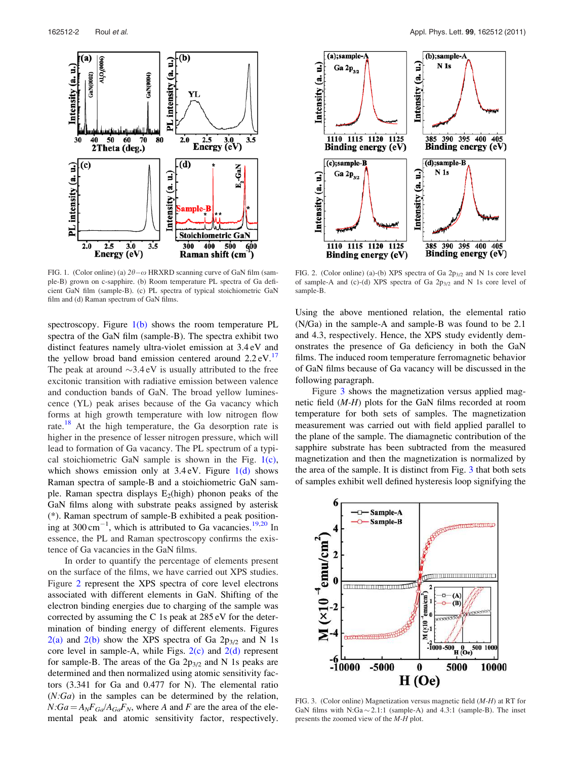

FIG. 1. (Color online) (a)  $2\theta - \omega$  HRXRD scanning curve of GaN film (sample-B) grown on c-sapphire. (b) Room temperature PL spectra of Ga deficient GaN film (sample-B). (c) PL spectra of typical stoichiometric GaN film and (d) Raman spectrum of GaN films.

spectroscopy. Figure  $1(b)$  shows the room temperature PL spectra of the GaN film (sample-B). The spectra exhibit two distinct features namely ultra-violet emission at 3.4 eV and the yellow broad band emission centered around  $2.2 \text{ eV}$ .<sup>17</sup> The peak at around  $\sim 3.4 \text{ eV}$  is usually attributed to the free excitonic transition with radiative emission between valence and conduction bands of GaN. The broad yellow luminescence (YL) peak arises because of the Ga vacancy which forms at high growth temperature with low nitrogen flow rate.<sup>18</sup> At the high temperature, the Ga desorption rate is higher in the presence of lesser nitrogen pressure, which will lead to formation of Ga vacancy. The PL spectrum of a typical stoichiometric GaN sample is shown in the Fig.  $1(c)$ , which shows emission only at  $3.4 \text{ eV}$ . Figure  $1(d)$  shows Raman spectra of sample-B and a stoichiometric GaN sample. Raman spectra displays  $E_2$ (high) phonon peaks of the GaN films along with substrate peaks assigned by asterisk (\*). Raman spectrum of sample-B exhibited a peak positioning at  $300 \text{ cm}^{-1}$ , which is attributed to Ga vacancies.<sup>19,20</sup> In essence, the PL and Raman spectroscopy confirms the existence of Ga vacancies in the GaN films.

In order to quantify the percentage of elements present on the surface of the films, we have carried out XPS studies. Figure 2 represent the XPS spectra of core level electrons associated with different elements in GaN. Shifting of the electron binding energies due to charging of the sample was corrected by assuming the C 1s peak at 285 eV for the determination of binding energy of different elements. Figures  $2(a)$  and  $2(b)$  show the XPS spectra of Ga  $2p_{3/2}$  and N 1s core level in sample-A, while Figs.  $2(c)$  and  $2(d)$  represent for sample-B. The areas of the Ga  $2p_{3/2}$  and N 1s peaks are determined and then normalized using atomic sensitivity factors (3.341 for Ga and 0.477 for N). The elemental ratio (*N:Ga*) in the samples can be determined by the relation,  $N:Ga = A_NF_{Ga}/A_{Ga}F_N$ , where *A* and *F* are the area of the elemental peak and atomic sensitivity factor, respectively.



FIG. 2. (Color online) (a)-(b) XPS spectra of Ga  $2p_{3/2}$  and N 1s core level of sample-A and (c)-(d) XPS spectra of Ga  $2p_{3/2}$  and N 1s core level of sample-B.

Using the above mentioned relation, the elemental ratio (N/Ga) in the sample-A and sample-B was found to be 2.1 and 4.3, respectively. Hence, the XPS study evidently demonstrates the presence of Ga deficiency in both the GaN films. The induced room temperature ferromagnetic behavior of GaN films because of Ga vacancy will be discussed in the following paragraph.

Figure 3 shows the magnetization versus applied magnetic field (*M-H*) plots for the GaN films recorded at room temperature for both sets of samples. The magnetization measurement was carried out with field applied parallel to the plane of the sample. The diamagnetic contribution of the sapphire substrate has been subtracted from the measured magnetization and then the magnetization is normalized by the area of the sample. It is distinct from Fig. 3 that both sets of samples exhibit well defined hysteresis loop signifying the



FIG. 3. (Color online) Magnetization versus magnetic field (*M-H*) at RT for GaN films with N:Ga  $\sim$  2.1:1 (sample-A) and 4.3:1 (sample-B). The inset presents the zoomed view of the *M-H* plot.